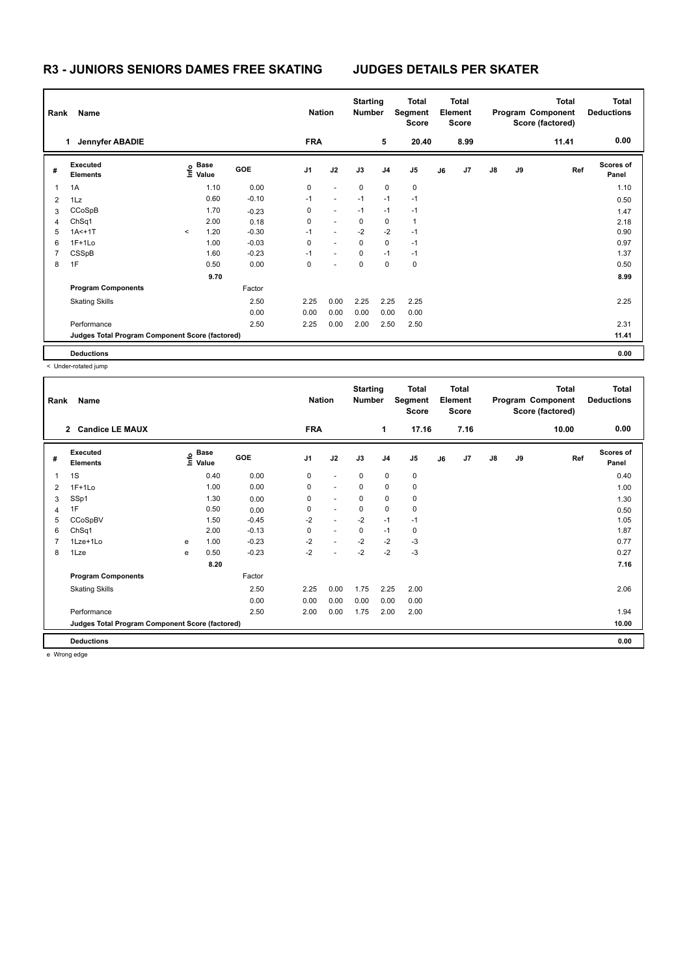## **R3 - JUNIORS SENIORS DAMES FREE SKATING JUDGES DETAILS PER SKATER**

|   | Rank<br>Name                                    |         |                   |            |                |        | <b>Starting</b><br><b>Number</b> |                | <b>Total</b><br>Segment<br><b>Score</b> | <b>Total</b><br>Element<br><b>Score</b> |                | <b>Total</b><br>Program Component<br>Score (factored) |    |       | Total<br><b>Deductions</b> |
|---|-------------------------------------------------|---------|-------------------|------------|----------------|--------|----------------------------------|----------------|-----------------------------------------|-----------------------------------------|----------------|-------------------------------------------------------|----|-------|----------------------------|
|   | Jennyfer ABADIE<br>1.                           |         |                   |            | <b>FRA</b>     |        |                                  | 5              | 20.40                                   |                                         | 8.99           |                                                       |    | 11.41 | 0.00                       |
| # | Executed<br><b>Elements</b>                     |         | e Base<br>⊑ Value | <b>GOE</b> | J <sub>1</sub> | J2     | J3                               | J <sub>4</sub> | J <sub>5</sub>                          | J6                                      | J <sub>7</sub> | $\mathsf{J}8$                                         | J9 | Ref   | <b>Scores of</b><br>Panel  |
| 1 | 1A                                              |         | 1.10              | 0.00       | $\mathbf 0$    | $\sim$ | $\mathbf 0$                      | 0              | $\mathbf 0$                             |                                         |                |                                                       |    |       | 1.10                       |
| 2 | 1Lz                                             |         | 0.60              | $-0.10$    | $-1$           | $\sim$ | $-1$                             | $-1$           | $-1$                                    |                                         |                |                                                       |    |       | 0.50                       |
| 3 | CCoSpB                                          |         | 1.70              | $-0.23$    | 0              | $\sim$ | $-1$                             | $-1$           | $-1$                                    |                                         |                |                                                       |    |       | 1.47                       |
| 4 | ChSq1                                           |         | 2.00              | 0.18       | 0              | $\sim$ | $\Omega$                         | $\mathbf 0$    | $\mathbf{1}$                            |                                         |                |                                                       |    |       | 2.18                       |
| 5 | $1A<+1T$                                        | $\prec$ | 1.20              | $-0.30$    | $-1$           | $\sim$ | $-2$                             | $-2$           | $-1$                                    |                                         |                |                                                       |    |       | 0.90                       |
| 6 | $1F+1Lo$                                        |         | 1.00              | $-0.03$    | $\mathbf 0$    | $\sim$ | $\Omega$                         | $\mathbf 0$    | $-1$                                    |                                         |                |                                                       |    |       | 0.97                       |
| 7 | CSSpB                                           |         | 1.60              | $-0.23$    | $-1$           | $\sim$ | $\mathbf 0$                      | $-1$           | $-1$                                    |                                         |                |                                                       |    |       | 1.37                       |
| 8 | 1F                                              |         | 0.50              | 0.00       | 0              |        | 0                                | 0              | $\pmb{0}$                               |                                         |                |                                                       |    |       | 0.50                       |
|   |                                                 |         | 9.70              |            |                |        |                                  |                |                                         |                                         |                |                                                       |    |       | 8.99                       |
|   | <b>Program Components</b>                       |         |                   | Factor     |                |        |                                  |                |                                         |                                         |                |                                                       |    |       |                            |
|   | <b>Skating Skills</b>                           |         |                   | 2.50       | 2.25           | 0.00   | 2.25                             | 2.25           | 2.25                                    |                                         |                |                                                       |    |       | 2.25                       |
|   |                                                 |         |                   | 0.00       | 0.00           | 0.00   | 0.00                             | 0.00           | 0.00                                    |                                         |                |                                                       |    |       |                            |
|   | Performance                                     |         |                   | 2.50       | 2.25           | 0.00   | 2.00                             | 2.50           | 2.50                                    |                                         |                |                                                       |    |       | 2.31                       |
|   | Judges Total Program Component Score (factored) |         |                   |            |                |        |                                  |                |                                         |                                         |                |                                                       |    |       | 11.41                      |
|   | <b>Deductions</b>                               |         |                   |            |                |        |                                  |                |                                         |                                         |                |                                                       |    |       | 0.00                       |

< Under-rotated jump

| Rank | Name                                            |   | <b>Nation</b>     |         | <b>Starting</b><br><b>Number</b> | <b>Total</b><br>Segment<br><b>Score</b> | <b>Total</b><br>Element<br>Score |                |                |    | <b>Total</b><br>Program Component<br>Score (factored) | <b>Total</b><br><b>Deductions</b> |    |       |                    |
|------|-------------------------------------------------|---|-------------------|---------|----------------------------------|-----------------------------------------|----------------------------------|----------------|----------------|----|-------------------------------------------------------|-----------------------------------|----|-------|--------------------|
|      | <b>Candice LE MAUX</b><br>$\overline{2}$        |   |                   |         | <b>FRA</b>                       |                                         |                                  | 1              | 17.16          |    | 7.16                                                  |                                   |    | 10.00 | 0.00               |
| #    | Executed<br><b>Elements</b>                     |   | e Base<br>⊑ Value | GOE     | J <sub>1</sub>                   | J2                                      | J3                               | J <sub>4</sub> | J <sub>5</sub> | J6 | J7                                                    | $\mathsf{J}8$                     | J9 | Ref   | Scores of<br>Panel |
| 1    | 1S                                              |   | 0.40              | 0.00    | 0                                | $\ddot{\phantom{1}}$                    | 0                                | 0              | 0              |    |                                                       |                                   |    |       | 0.40               |
| 2    | $1F+1Lo$                                        |   | 1.00              | 0.00    | 0                                | $\overline{a}$                          | 0                                | $\mathbf 0$    | 0              |    |                                                       |                                   |    |       | 1.00               |
| 3    | SSp1                                            |   | 1.30              | 0.00    | 0                                | $\overline{\phantom{a}}$                | 0                                | 0              | 0              |    |                                                       |                                   |    |       | 1.30               |
| 4    | 1F                                              |   | 0.50              | 0.00    | 0                                | $\overline{\phantom{a}}$                | 0                                | $\mathbf 0$    | $\mathbf 0$    |    |                                                       |                                   |    |       | 0.50               |
| 5    | CCoSpBV                                         |   | 1.50              | $-0.45$ | $-2$                             | $\overline{a}$                          | $-2$                             | $-1$           | $-1$           |    |                                                       |                                   |    |       | 1.05               |
| 6    | ChSq1                                           |   | 2.00              | $-0.13$ | 0                                | $\overline{a}$                          | 0                                | $-1$           | $\mathbf 0$    |    |                                                       |                                   |    |       | 1.87               |
|      | 1Lze+1Lo                                        | e | 1.00              | $-0.23$ | $-2$                             | $\overline{a}$                          | $-2$                             | $-2$           | $-3$           |    |                                                       |                                   |    |       | 0.77               |
| 8    | 1Lze                                            | e | 0.50              | $-0.23$ | $-2$                             |                                         | $-2$                             | $-2$           | $-3$           |    |                                                       |                                   |    |       | 0.27               |
|      |                                                 |   | 8.20              |         |                                  |                                         |                                  |                |                |    |                                                       |                                   |    |       | 7.16               |
|      | <b>Program Components</b>                       |   |                   | Factor  |                                  |                                         |                                  |                |                |    |                                                       |                                   |    |       |                    |
|      | <b>Skating Skills</b>                           |   |                   | 2.50    | 2.25                             | 0.00                                    | 1.75                             | 2.25           | 2.00           |    |                                                       |                                   |    |       | 2.06               |
|      |                                                 |   |                   | 0.00    | 0.00                             | 0.00                                    | 0.00                             | 0.00           | 0.00           |    |                                                       |                                   |    |       |                    |
|      | Performance                                     |   |                   | 2.50    | 2.00                             | 0.00                                    | 1.75                             | 2.00           | 2.00           |    |                                                       |                                   |    |       | 1.94               |
|      | Judges Total Program Component Score (factored) |   |                   |         |                                  |                                         |                                  |                |                |    |                                                       |                                   |    |       | 10.00              |
|      | <b>Deductions</b>                               |   |                   |         |                                  |                                         |                                  |                |                |    |                                                       |                                   |    |       | 0.00               |

e Wrong edge